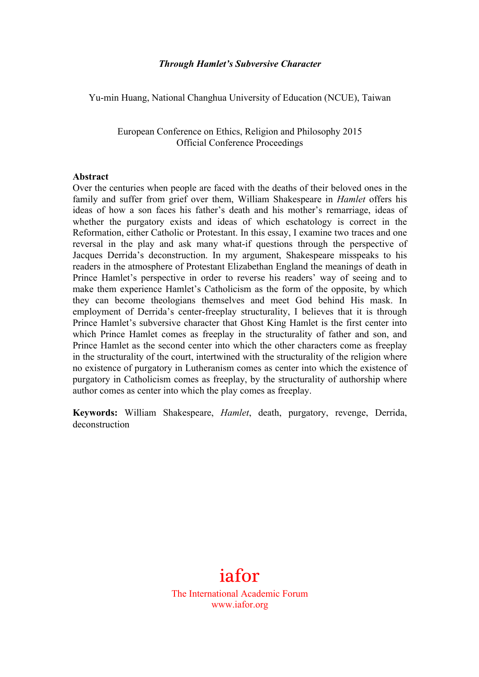#### *Through Hamlet's Subversive Character*

Yu-min Huang, National Changhua University of Education (NCUE), Taiwan

European Conference on Ethics, Religion and Philosophy 2015 Official Conference Proceedings

#### **Abstract**

Over the centuries when people are faced with the deaths of their beloved ones in the family and suffer from grief over them, William Shakespeare in *Hamlet* offers his ideas of how a son faces his father's death and his mother's remarriage, ideas of whether the purgatory exists and ideas of which eschatology is correct in the Reformation, either Catholic or Protestant. In this essay, I examine two traces and one reversal in the play and ask many what-if questions through the perspective of Jacques Derrida's deconstruction. In my argument, Shakespeare misspeaks to his readers in the atmosphere of Protestant Elizabethan England the meanings of death in Prince Hamlet's perspective in order to reverse his readers' way of seeing and to make them experience Hamlet's Catholicism as the form of the opposite, by which they can become theologians themselves and meet God behind His mask. In employment of Derrida's center-freeplay structurality, I believes that it is through Prince Hamlet's subversive character that Ghost King Hamlet is the first center into which Prince Hamlet comes as freeplay in the structurality of father and son, and Prince Hamlet as the second center into which the other characters come as freeplay in the structurality of the court, intertwined with the structurality of the religion where no existence of purgatory in Lutheranism comes as center into which the existence of purgatory in Catholicism comes as freeplay, by the structurality of authorship where author comes as center into which the play comes as freeplay.

**Keywords:** William Shakespeare, *Hamlet*, death, purgatory, revenge, Derrida, deconstruction



The International Academic Forum www.iafor.org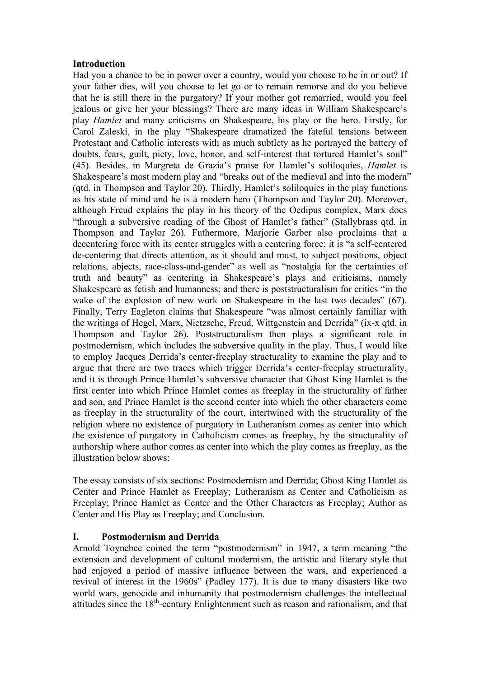# **Introduction**

Had you a chance to be in power over a country, would you choose to be in or out? If your father dies, will you choose to let go or to remain remorse and do you believe that he is still there in the purgatory? If your mother got remarried, would you feel jealous or give her your blessings? There are many ideas in William Shakespeare's play *Hamlet* and many criticisms on Shakespeare, his play or the hero. Firstly, for Carol Zaleski, in the play "Shakespeare dramatized the fateful tensions between Protestant and Catholic interests with as much subtlety as he portrayed the battery of doubts, fears, guilt, piety, love, honor, and self-interest that tortured Hamlet's soul" (45). Besides, in Margreta de Grazia's praise for Hamlet's soliloquies, *Hamlet* is Shakespeare's most modern play and "breaks out of the medieval and into the modern" (qtd. in Thompson and Taylor 20). Thirdly, Hamlet's soliloquies in the play functions as his state of mind and he is a modern hero (Thompson and Taylor 20). Moreover, although Freud explains the play in his theory of the Oedipus complex, Marx does "through a subversive reading of the Ghost of Hamlet's father" (Stallybrass qtd. in Thompson and Taylor 26). Futhermore, Marjorie Garber also proclaims that a decentering force with its center struggles with a centering force; it is "a self-centered de-centering that directs attention, as it should and must, to subject positions, object relations, abjects, race-class-and-gender" as well as "nostalgia for the certainties of truth and beauty" as centering in Shakespeare's plays and criticisms, namely Shakespeare as fetish and humanness; and there is poststructuralism for critics "in the wake of the explosion of new work on Shakespeare in the last two decades" (67). Finally, Terry Eagleton claims that Shakespeare "was almost certainly familiar with the writings of Hegel, Marx, Nietzsche, Freud, Wittgenstein and Derrida" (ix-x qtd. in Thompson and Taylor 26). Poststructuralism then plays a significant role in postmodernism, which includes the subversive quality in the play. Thus, I would like to employ Jacques Derrida's center-freeplay structurality to examine the play and to argue that there are two traces which trigger Derrida's center-freeplay structurality, and it is through Prince Hamlet's subversive character that Ghost King Hamlet is the first center into which Prince Hamlet comes as freeplay in the structurality of father and son, and Prince Hamlet is the second center into which the other characters come as freeplay in the structurality of the court, intertwined with the structurality of the religion where no existence of purgatory in Lutheranism comes as center into which the existence of purgatory in Catholicism comes as freeplay, by the structurality of authorship where author comes as center into which the play comes as freeplay, as the illustration below shows:

The essay consists of six sections: Postmodernism and Derrida; Ghost King Hamlet as Center and Prince Hamlet as Freeplay; Lutheranism as Center and Catholicism as Freeplay; Prince Hamlet as Center and the Other Characters as Freeplay; Author as Center and His Play as Freeplay; and Conclusion.

# **I. Postmodernism and Derrida**

Arnold Toynebee coined the term "postmodernism" in 1947, a term meaning "the extension and development of cultural modernism, the artistic and literary style that had enjoyed a period of massive influence between the wars, and experienced a revival of interest in the 1960s" (Padley 177). It is due to many disasters like two world wars, genocide and inhumanity that postmodernism challenges the intellectual attitudes since the  $18<sup>th</sup>$ -century Enlightenment such as reason and rationalism, and that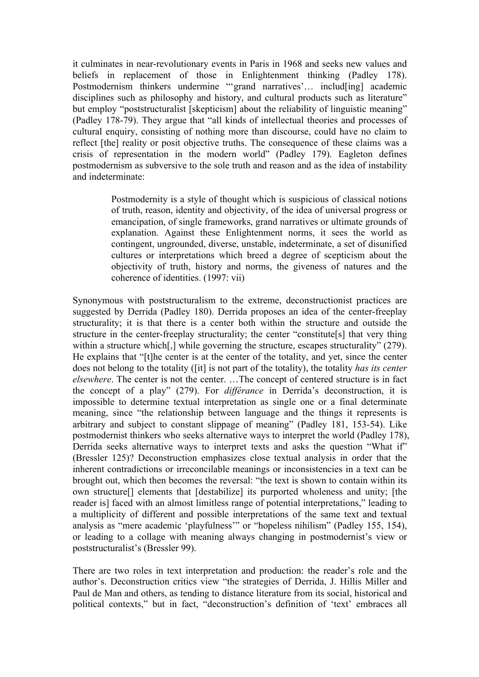it culminates in near-revolutionary events in Paris in 1968 and seeks new values and beliefs in replacement of those in Enlightenment thinking (Padley 178). Postmodernism thinkers undermine "'grand narratives'... includ[ing] academic disciplines such as philosophy and history, and cultural products such as literature" but employ "poststructuralist [skepticism] about the reliability of linguistic meaning" (Padley 178-79). They argue that "all kinds of intellectual theories and processes of cultural enquiry, consisting of nothing more than discourse, could have no claim to reflect [the] reality or posit objective truths. The consequence of these claims was a crisis of representation in the modern world" (Padley 179). Eagleton defines postmodernism as subversive to the sole truth and reason and as the idea of instability and indeterminate:

> Postmodernity is a style of thought which is suspicious of classical notions of truth, reason, identity and objectivity, of the idea of universal progress or emancipation, of single frameworks, grand narratives or ultimate grounds of explanation. Against these Enlightenment norms, it sees the world as contingent, ungrounded, diverse, unstable, indeterminate, a set of disunified cultures or interpretations which breed a degree of scepticism about the objectivity of truth, history and norms, the giveness of natures and the coherence of identities. (1997: vii)

Synonymous with poststructuralism to the extreme, deconstructionist practices are suggested by Derrida (Padley 180). Derrida proposes an idea of the center-freeplay structurality; it is that there is a center both within the structure and outside the structure in the center-freeplay structurality; the center "constitute[s] that very thing within a structure which[,] while governing the structure, escapes structurality" (279). He explains that "[t]he center is at the center of the totality, and yet, since the center does not belong to the totality ([it] is not part of the totality), the totality *has its center elsewhere*. The center is not the center. …The concept of centered structure is in fact the concept of a play" (279). For *différance* in Derrida's deconstruction, it is impossible to determine textual interpretation as single one or a final determinate meaning, since "the relationship between language and the things it represents is arbitrary and subject to constant slippage of meaning" (Padley 181, 153-54). Like postmodernist thinkers who seeks alternative ways to interpret the world (Padley 178), Derrida seeks alternative ways to interpret texts and asks the question "What if" (Bressler 125)? Deconstruction emphasizes close textual analysis in order that the inherent contradictions or irreconcilable meanings or inconsistencies in a text can be brought out, which then becomes the reversal: "the text is shown to contain within its own structure[] elements that [destabilize] its purported wholeness and unity; [the reader is] faced with an almost limitless range of potential interpretations," leading to a multiplicity of different and possible interpretations of the same text and textual analysis as "mere academic 'playfulness'" or "hopeless nihilism" (Padley 155, 154), or leading to a collage with meaning always changing in postmodernist's view or poststructuralist's (Bressler 99).

There are two roles in text interpretation and production: the reader's role and the author's. Deconstruction critics view "the strategies of Derrida, J. Hillis Miller and Paul de Man and others, as tending to distance literature from its social, historical and political contexts," but in fact, "deconstruction's definition of 'text' embraces all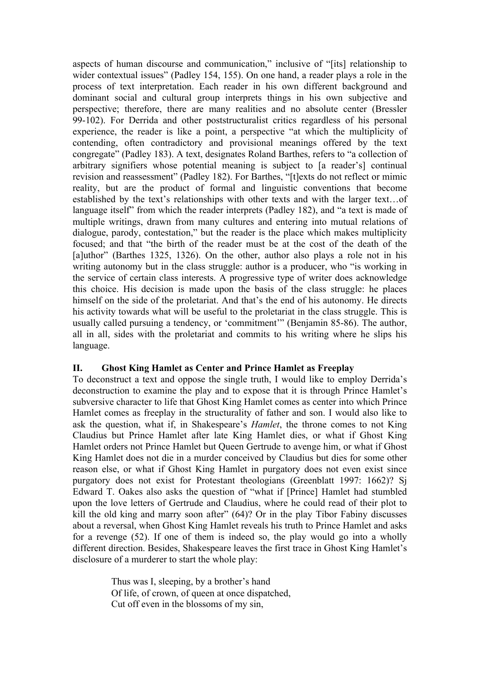aspects of human discourse and communication," inclusive of "[its] relationship to wider contextual issues" (Padley 154, 155). On one hand, a reader plays a role in the process of text interpretation. Each reader in his own different background and dominant social and cultural group interprets things in his own subjective and perspective; therefore, there are many realities and no absolute center (Bressler 99-102). For Derrida and other poststructuralist critics regardless of his personal experience, the reader is like a point, a perspective "at which the multiplicity of contending, often contradictory and provisional meanings offered by the text congregate" (Padley 183). A text, designates Roland Barthes, refers to "a collection of arbitrary signifiers whose potential meaning is subject to [a reader's] continual revision and reassessment" (Padley 182). For Barthes, "[t]exts do not reflect or mimic reality, but are the product of formal and linguistic conventions that become established by the text's relationships with other texts and with the larger text…of language itself" from which the reader interprets (Padley 182), and "a text is made of multiple writings, drawn from many cultures and entering into mutual relations of dialogue, parody, contestation," but the reader is the place which makes multiplicity focused; and that "the birth of the reader must be at the cost of the death of the [a]uthor" (Barthes 1325, 1326). On the other, author also plays a role not in his writing autonomy but in the class struggle: author is a producer, who "is working in the service of certain class interests. A progressive type of writer does acknowledge this choice. His decision is made upon the basis of the class struggle: he places himself on the side of the proletariat. And that's the end of his autonomy. He directs his activity towards what will be useful to the proletariat in the class struggle. This is usually called pursuing a tendency, or 'commitment'" (Benjamin 85-86). The author, all in all, sides with the proletariat and commits to his writing where he slips his language.

### **II. Ghost King Hamlet as Center and Prince Hamlet as Freeplay**

To deconstruct a text and oppose the single truth, I would like to employ Derrida's deconstruction to examine the play and to expose that it is through Prince Hamlet's subversive character to life that Ghost King Hamlet comes as center into which Prince Hamlet comes as freeplay in the structurality of father and son. I would also like to ask the question, what if, in Shakespeare's *Hamlet*, the throne comes to not King Claudius but Prince Hamlet after late King Hamlet dies, or what if Ghost King Hamlet orders not Prince Hamlet but Queen Gertrude to avenge him, or what if Ghost King Hamlet does not die in a murder conceived by Claudius but dies for some other reason else, or what if Ghost King Hamlet in purgatory does not even exist since purgatory does not exist for Protestant theologians (Greenblatt 1997: 1662)? Sj Edward T. Oakes also asks the question of "what if [Prince] Hamlet had stumbled upon the love letters of Gertrude and Claudius, where he could read of their plot to kill the old king and marry soon after" (64)? Or in the play Tibor Fabiny discusses about a reversal, when Ghost King Hamlet reveals his truth to Prince Hamlet and asks for a revenge (52). If one of them is indeed so, the play would go into a wholly different direction. Besides, Shakespeare leaves the first trace in Ghost King Hamlet's disclosure of a murderer to start the whole play:

> Thus was I, sleeping, by a brother's hand Of life, of crown, of queen at once dispatched, Cut off even in the blossoms of my sin,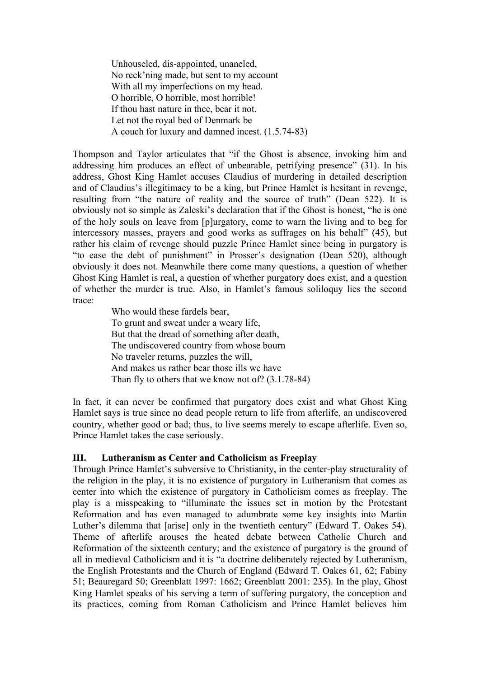Unhouseled, dis-appointed, unaneled, No reck'ning made, but sent to my account With all my imperfections on my head. O horrible, O horrible, most horrible! If thou hast nature in thee, bear it not. Let not the royal bed of Denmark be A couch for luxury and damned incest. (1.5.74-83)

Thompson and Taylor articulates that "if the Ghost is absence, invoking him and addressing him produces an effect of unbearable, petrifying presence" (31). In his address, Ghost King Hamlet accuses Claudius of murdering in detailed description and of Claudius's illegitimacy to be a king, but Prince Hamlet is hesitant in revenge, resulting from "the nature of reality and the source of truth" (Dean 522). It is obviously not so simple as Zaleski's declaration that if the Ghost is honest, "he is one of the holy souls on leave from [p]urgatory, come to warn the living and to beg for intercessory masses, prayers and good works as suffrages on his behalf" (45), but rather his claim of revenge should puzzle Prince Hamlet since being in purgatory is "to ease the debt of punishment" in Prosser's designation (Dean 520), although obviously it does not. Meanwhile there come many questions, a question of whether Ghost King Hamlet is real, a question of whether purgatory does exist, and a question of whether the murder is true. Also, in Hamlet's famous soliloquy lies the second trace:

Who would these fardels bear, To grunt and sweat under a weary life, But that the dread of something after death, The undiscovered country from whose bourn No traveler returns, puzzles the will, And makes us rather bear those ills we have Than fly to others that we know not of? (3.1.78-84)

In fact, it can never be confirmed that purgatory does exist and what Ghost King Hamlet says is true since no dead people return to life from afterlife, an undiscovered country, whether good or bad; thus, to live seems merely to escape afterlife. Even so, Prince Hamlet takes the case seriously.

### **III. Lutheranism as Center and Catholicism as Freeplay**

Through Prince Hamlet's subversive to Christianity, in the center-play structurality of the religion in the play, it is no existence of purgatory in Lutheranism that comes as center into which the existence of purgatory in Catholicism comes as freeplay. The play is a misspeaking to "illuminate the issues set in motion by the Protestant Reformation and has even managed to adumbrate some key insights into Martin Luther's dilemma that [arise] only in the twentieth century" (Edward T. Oakes 54). Theme of afterlife arouses the heated debate between Catholic Church and Reformation of the sixteenth century; and the existence of purgatory is the ground of all in medieval Catholicism and it is "a doctrine deliberately rejected by Lutheranism, the English Protestants and the Church of England (Edward T. Oakes 61, 62; Fabiny 51; Beauregard 50; Greenblatt 1997: 1662; Greenblatt 2001: 235). In the play, Ghost King Hamlet speaks of his serving a term of suffering purgatory, the conception and its practices, coming from Roman Catholicism and Prince Hamlet believes him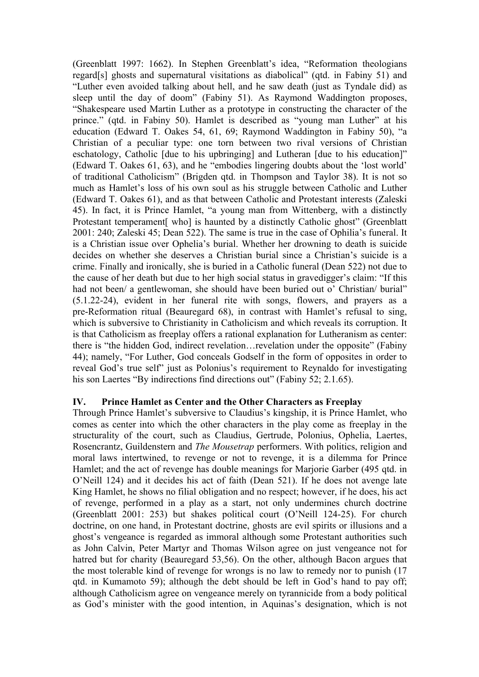(Greenblatt 1997: 1662). In Stephen Greenblatt's idea, "Reformation theologians regard[s] ghosts and supernatural visitations as diabolical" (qtd. in Fabiny 51) and "Luther even avoided talking about hell, and he saw death (just as Tyndale did) as sleep until the day of doom" (Fabiny 51). As Raymond Waddington proposes, "Shakespeare used Martin Luther as a prototype in constructing the character of the prince." (qtd. in Fabiny 50). Hamlet is described as "young man Luther" at his education (Edward T. Oakes 54, 61, 69; Raymond Waddington in Fabiny 50), "a Christian of a peculiar type: one torn between two rival versions of Christian eschatology, Catholic [due to his upbringing] and Lutheran [due to his education]" (Edward T. Oakes 61, 63), and he "embodies lingering doubts about the 'lost world' of traditional Catholicism" (Brigden qtd. in Thompson and Taylor 38). It is not so much as Hamlet's loss of his own soul as his struggle between Catholic and Luther (Edward T. Oakes 61), and as that between Catholic and Protestant interests (Zaleski 45). In fact, it is Prince Hamlet, "a young man from Wittenberg, with a distinctly Protestant temperament [who] is haunted by a distinctly Catholic ghost" (Greenblatt 2001: 240; Zaleski 45; Dean 522). The same is true in the case of Ophilia's funeral. It is a Christian issue over Ophelia's burial. Whether her drowning to death is suicide decides on whether she deserves a Christian burial since a Christian's suicide is a crime. Finally and ironically, she is buried in a Catholic funeral (Dean 522) not due to the cause of her death but due to her high social status in gravedigger's claim: "If this had not been/ a gentlewoman, she should have been buried out o' Christian/ burial" (5.1.22-24), evident in her funeral rite with songs, flowers, and prayers as a pre-Reformation ritual (Beauregard 68), in contrast with Hamlet's refusal to sing, which is subversive to Christianity in Catholicism and which reveals its corruption. It is that Catholicism as freeplay offers a rational explanation for Lutheranism as center: there is "the hidden God, indirect revelation…revelation under the opposite" (Fabiny 44); namely, "For Luther, God conceals Godself in the form of opposites in order to reveal God's true self" just as Polonius's requirement to Reynaldo for investigating his son Laertes "By indirections find directions out" (Fabiny 52; 2.1.65).

### **IV. Prince Hamlet as Center and the Other Characters as Freeplay**

Through Prince Hamlet's subversive to Claudius's kingship, it is Prince Hamlet, who comes as center into which the other characters in the play come as freeplay in the structurality of the court, such as Claudius, Gertrude, Polonius, Ophelia, Laertes, Rosencrantz, Guildenstern and *The Mousetrap* performers. With politics, religion and moral laws intertwined, to revenge or not to revenge, it is a dilemma for Prince Hamlet; and the act of revenge has double meanings for Marjorie Garber (495 qtd. in O'Neill 124) and it decides his act of faith (Dean 521). If he does not avenge late King Hamlet, he shows no filial obligation and no respect; however, if he does, his act of revenge, performed in a play as a start, not only undermines church doctrine (Greenblatt 2001: 253) but shakes political court (O'Neill 124-25). For church doctrine, on one hand, in Protestant doctrine, ghosts are evil spirits or illusions and a ghost's vengeance is regarded as immoral although some Protestant authorities such as John Calvin, Peter Martyr and Thomas Wilson agree on just vengeance not for hatred but for charity (Beauregard 53,56). On the other, although Bacon argues that the most tolerable kind of revenge for wrongs is no law to remedy nor to punish (17 qtd. in Kumamoto 59); although the debt should be left in God's hand to pay off; although Catholicism agree on vengeance merely on tyrannicide from a body political as God's minister with the good intention, in Aquinas's designation, which is not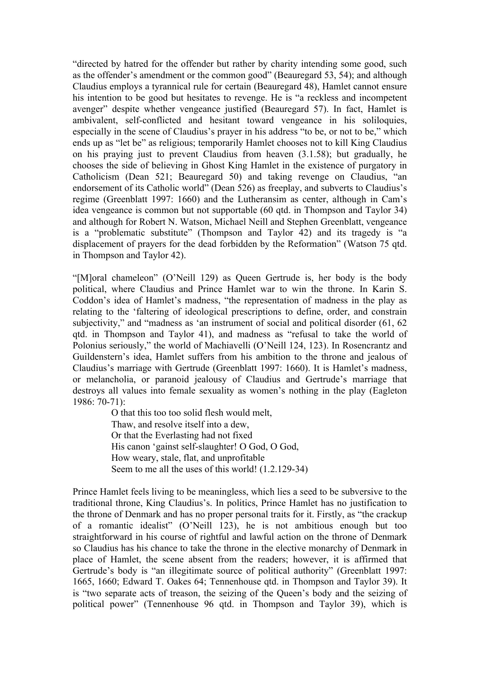"directed by hatred for the offender but rather by charity intending some good, such as the offender's amendment or the common good" (Beauregard 53, 54); and although Claudius employs a tyrannical rule for certain (Beauregard 48), Hamlet cannot ensure his intention to be good but hesitates to revenge. He is "a reckless and incompetent avenger" despite whether vengeance justified (Beauregard 57). In fact, Hamlet is ambivalent, self-conflicted and hesitant toward vengeance in his soliloquies, especially in the scene of Claudius's prayer in his address "to be, or not to be," which ends up as "let be" as religious; temporarily Hamlet chooses not to kill King Claudius on his praying just to prevent Claudius from heaven (3.1.58); but gradually, he chooses the side of believing in Ghost King Hamlet in the existence of purgatory in Catholicism (Dean 521; Beauregard 50) and taking revenge on Claudius, "an endorsement of its Catholic world" (Dean 526) as freeplay, and subverts to Claudius's regime (Greenblatt 1997: 1660) and the Lutheransim as center, although in Cam's idea vengeance is common but not supportable (60 qtd. in Thompson and Taylor 34) and although for Robert N. Watson, Michael Neill and Stephen Greenblatt, vengeance is a "problematic substitute" (Thompson and Taylor 42) and its tragedy is "a displacement of prayers for the dead forbidden by the Reformation" (Watson 75 qtd. in Thompson and Taylor 42).

"[M]oral chameleon" (O'Neill 129) as Queen Gertrude is, her body is the body political, where Claudius and Prince Hamlet war to win the throne. In Karin S. Coddon's idea of Hamlet's madness, "the representation of madness in the play as relating to the 'faltering of ideological prescriptions to define, order, and constrain subjectivity," and "madness as 'an instrument of social and political disorder (61, 62 qtd. in Thompson and Taylor 41), and madness as "refusal to take the world of Polonius seriously," the world of Machiavelli (O'Neill 124, 123). In Rosencrantz and Guildenstern's idea, Hamlet suffers from his ambition to the throne and jealous of Claudius's marriage with Gertrude (Greenblatt 1997: 1660). It is Hamlet's madness, or melancholia, or paranoid jealousy of Claudius and Gertrude's marriage that destroys all values into female sexuality as women's nothing in the play (Eagleton 1986: 70-71):

> O that this too too solid flesh would melt, Thaw, and resolve itself into a dew, Or that the Everlasting had not fixed His canon 'gainst self-slaughter! O God, O God, How weary, stale, flat, and unprofitable Seem to me all the uses of this world! (1.2.129-34)

Prince Hamlet feels living to be meaningless, which lies a seed to be subversive to the traditional throne, King Claudius's. In politics, Prince Hamlet has no justification to the throne of Denmark and has no proper personal traits for it. Firstly, as "the crackup of a romantic idealist" (O'Neill 123), he is not ambitious enough but too straightforward in his course of rightful and lawful action on the throne of Denmark so Claudius has his chance to take the throne in the elective monarchy of Denmark in place of Hamlet, the scene absent from the readers; however, it is affirmed that Gertrude's body is "an illegitimate source of political authority" (Greenblatt 1997: 1665, 1660; Edward T. Oakes 64; Tennenhouse qtd. in Thompson and Taylor 39). It is "two separate acts of treason, the seizing of the Queen's body and the seizing of political power" (Tennenhouse 96 qtd. in Thompson and Taylor 39), which is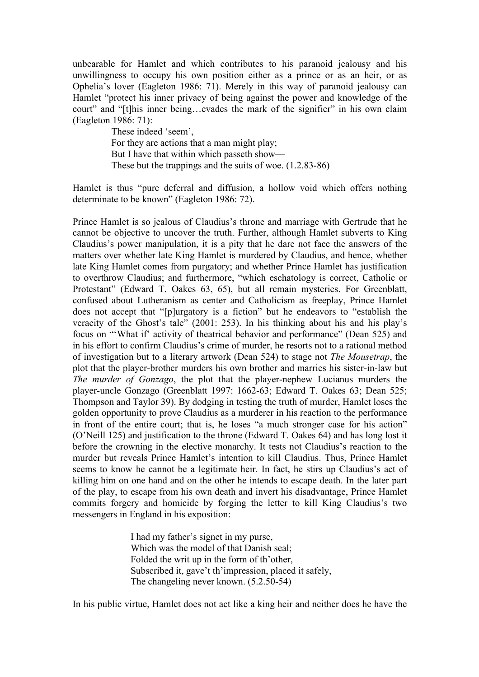unbearable for Hamlet and which contributes to his paranoid jealousy and his unwillingness to occupy his own position either as a prince or as an heir, or as Ophelia's lover (Eagleton 1986: 71). Merely in this way of paranoid jealousy can Hamlet "protect his inner privacy of being against the power and knowledge of the court" and "[t]his inner being…evades the mark of the signifier" in his own claim (Eagleton 1986: 71):

> These indeed 'seem', For they are actions that a man might play; But I have that within which passeth show— These but the trappings and the suits of woe. (1.2.83-86)

Hamlet is thus "pure deferral and diffusion, a hollow void which offers nothing determinate to be known" (Eagleton 1986: 72).

Prince Hamlet is so jealous of Claudius's throne and marriage with Gertrude that he cannot be objective to uncover the truth. Further, although Hamlet subverts to King Claudius's power manipulation, it is a pity that he dare not face the answers of the matters over whether late King Hamlet is murdered by Claudius, and hence, whether late King Hamlet comes from purgatory; and whether Prince Hamlet has justification to overthrow Claudius; and furthermore, "which eschatology is correct, Catholic or Protestant" (Edward T. Oakes 63, 65), but all remain mysteries. For Greenblatt, confused about Lutheranism as center and Catholicism as freeplay, Prince Hamlet does not accept that "[p]urgatory is a fiction" but he endeavors to "establish the veracity of the Ghost's tale" (2001: 253). In his thinking about his and his play's focus on "'What if' activity of theatrical behavior and performance" (Dean 525) and in his effort to confirm Claudius's crime of murder, he resorts not to a rational method of investigation but to a literary artwork (Dean 524) to stage not *The Mousetrap*, the plot that the player-brother murders his own brother and marries his sister-in-law but *The murder of Gonzago*, the plot that the player-nephew Lucianus murders the player-uncle Gonzago (Greenblatt 1997: 1662-63; Edward T. Oakes 63; Dean 525; Thompson and Taylor 39). By dodging in testing the truth of murder, Hamlet loses the golden opportunity to prove Claudius as a murderer in his reaction to the performance in front of the entire court; that is, he loses "a much stronger case for his action" (O'Neill 125) and justification to the throne (Edward T. Oakes 64) and has long lost it before the crowning in the elective monarchy. It tests not Claudius's reaction to the murder but reveals Prince Hamlet's intention to kill Claudius. Thus, Prince Hamlet seems to know he cannot be a legitimate heir. In fact, he stirs up Claudius's act of killing him on one hand and on the other he intends to escape death. In the later part of the play, to escape from his own death and invert his disadvantage, Prince Hamlet commits forgery and homicide by forging the letter to kill King Claudius's two messengers in England in his exposition:

> I had my father's signet in my purse, Which was the model of that Danish seal; Folded the writ up in the form of th'other, Subscribed it, gave't th'impression, placed it safely, The changeling never known. (5.2.50-54)

In his public virtue, Hamlet does not act like a king heir and neither does he have the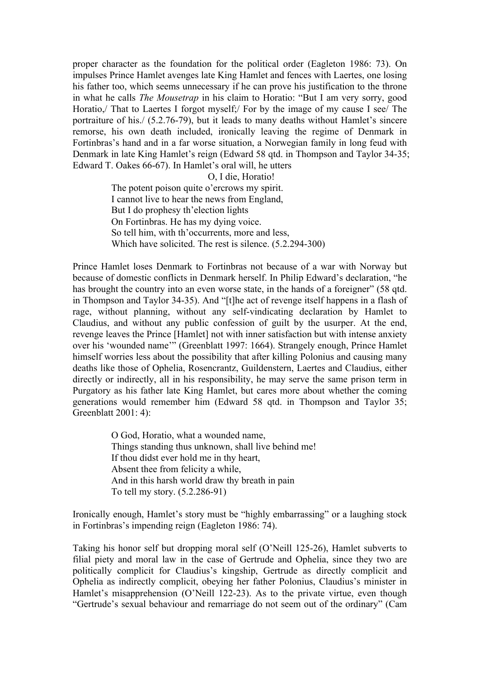proper character as the foundation for the political order (Eagleton 1986: 73). On impulses Prince Hamlet avenges late King Hamlet and fences with Laertes, one losing his father too, which seems unnecessary if he can prove his justification to the throne in what he calls *The Mousetrap* in his claim to Horatio: "But I am very sorry, good Horatio,/ That to Laertes I forgot myself;/ For by the image of my cause I see/ The portraiture of his./ (5.2.76-79), but it leads to many deaths without Hamlet's sincere remorse, his own death included, ironically leaving the regime of Denmark in Fortinbras's hand and in a far worse situation, a Norwegian family in long feud with Denmark in late King Hamlet's reign (Edward 58 qtd. in Thompson and Taylor 34-35; Edward T. Oakes 66-67). In Hamlet's oral will, he utters

#### O, I die, Horatio!

The potent poison quite o'ercrows my spirit. I cannot live to hear the news from England, But I do prophesy th'election lights On Fortinbras. He has my dying voice. So tell him, with th'occurrents, more and less, Which have solicited. The rest is silence. (5.2.294-300)

Prince Hamlet loses Denmark to Fortinbras not because of a war with Norway but because of domestic conflicts in Denmark herself. In Philip Edward's declaration, "he has brought the country into an even worse state, in the hands of a foreigner" (58 qtd. in Thompson and Taylor 34-35). And "[t]he act of revenge itself happens in a flash of rage, without planning, without any self-vindicating declaration by Hamlet to Claudius, and without any public confession of guilt by the usurper. At the end, revenge leaves the Prince [Hamlet] not with inner satisfaction but with intense anxiety over his 'wounded name'" (Greenblatt 1997: 1664). Strangely enough, Prince Hamlet himself worries less about the possibility that after killing Polonius and causing many deaths like those of Ophelia, Rosencrantz, Guildenstern, Laertes and Claudius, either directly or indirectly, all in his responsibility, he may serve the same prison term in Purgatory as his father late King Hamlet, but cares more about whether the coming generations would remember him (Edward 58 qtd. in Thompson and Taylor 35; Greenblatt 2001: 4):

> O God, Horatio, what a wounded name, Things standing thus unknown, shall live behind me! If thou didst ever hold me in thy heart, Absent thee from felicity a while, And in this harsh world draw thy breath in pain To tell my story. (5.2.286-91)

Ironically enough, Hamlet's story must be "highly embarrassing" or a laughing stock in Fortinbras's impending reign (Eagleton 1986: 74).

Taking his honor self but dropping moral self (O'Neill 125-26), Hamlet subverts to filial piety and moral law in the case of Gertrude and Ophelia, since they two are politically complicit for Claudius's kingship, Gertrude as directly complicit and Ophelia as indirectly complicit, obeying her father Polonius, Claudius's minister in Hamlet's misapprehension (O'Neill 122-23). As to the private virtue, even though "Gertrude's sexual behaviour and remarriage do not seem out of the ordinary" (Cam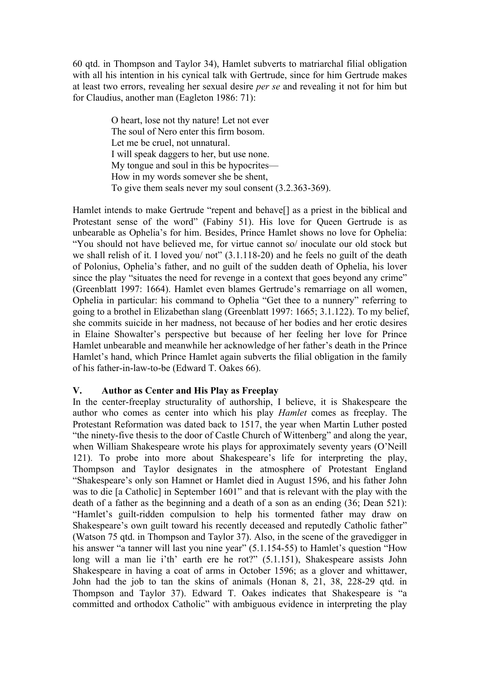60 qtd. in Thompson and Taylor 34), Hamlet subverts to matriarchal filial obligation with all his intention in his cynical talk with Gertrude, since for him Gertrude makes at least two errors, revealing her sexual desire *per se* and revealing it not for him but for Claudius, another man (Eagleton 1986: 71):

> O heart, lose not thy nature! Let not ever The soul of Nero enter this firm bosom. Let me be cruel, not unnatural. I will speak daggers to her, but use none. My tongue and soul in this be hypocrites— How in my words somever she be shent, To give them seals never my soul consent (3.2.363-369).

Hamlet intends to make Gertrude "repent and behave[] as a priest in the biblical and Protestant sense of the word" (Fabiny 51). His love for Queen Gertrude is as unbearable as Ophelia's for him. Besides, Prince Hamlet shows no love for Ophelia: "You should not have believed me, for virtue cannot so/ inoculate our old stock but we shall relish of it. I loved you/ not" (3.1.118-20) and he feels no guilt of the death of Polonius, Ophelia's father, and no guilt of the sudden death of Ophelia, his lover since the play "situates the need for revenge in a context that goes beyond any crime" (Greenblatt 1997: 1664). Hamlet even blames Gertrude's remarriage on all women, Ophelia in particular: his command to Ophelia "Get thee to a nunnery" referring to going to a brothel in Elizabethan slang (Greenblatt 1997: 1665; 3.1.122). To my belief, she commits suicide in her madness, not because of her bodies and her erotic desires in Elaine Showalter's perspective but because of her feeling her love for Prince Hamlet unbearable and meanwhile her acknowledge of her father's death in the Prince Hamlet's hand, which Prince Hamlet again subverts the filial obligation in the family of his father-in-law-to-be (Edward T. Oakes 66).

### **V. Author as Center and His Play as Freeplay**

In the center-freeplay structurality of authorship, I believe, it is Shakespeare the author who comes as center into which his play *Hamlet* comes as freeplay. The Protestant Reformation was dated back to 1517, the year when Martin Luther posted "the ninety-five thesis to the door of Castle Church of Wittenberg" and along the year, when William Shakespeare wrote his plays for approximately seventy years (O'Neill 121). To probe into more about Shakespeare's life for interpreting the play, Thompson and Taylor designates in the atmosphere of Protestant England "Shakespeare's only son Hamnet or Hamlet died in August 1596, and his father John was to die [a Catholic] in September 1601" and that is relevant with the play with the death of a father as the beginning and a death of a son as an ending (36; Dean 521): "Hamlet's guilt-ridden compulsion to help his tormented father may draw on Shakespeare's own guilt toward his recently deceased and reputedly Catholic father" (Watson 75 qtd. in Thompson and Taylor 37). Also, in the scene of the gravedigger in his answer "a tanner will last you nine year" (5.1.154-55) to Hamlet's question "How long will a man lie i'th' earth ere he rot?" (5.1.151), Shakespeare assists John Shakespeare in having a coat of arms in October 1596; as a glover and whittawer, John had the job to tan the skins of animals (Honan 8, 21, 38, 228-29 qtd. in Thompson and Taylor 37). Edward T. Oakes indicates that Shakespeare is "a committed and orthodox Catholic" with ambiguous evidence in interpreting the play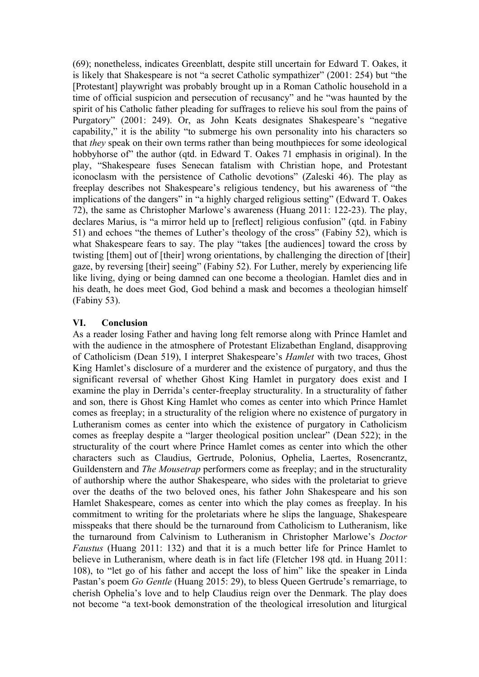(69); nonetheless, indicates Greenblatt, despite still uncertain for Edward T. Oakes, it is likely that Shakespeare is not "a secret Catholic sympathizer" (2001: 254) but "the [Protestant] playwright was probably brought up in a Roman Catholic household in a time of official suspicion and persecution of recusancy" and he "was haunted by the spirit of his Catholic father pleading for suffrages to relieve his soul from the pains of Purgatory" (2001: 249). Or, as John Keats designates Shakespeare's "negative capability," it is the ability "to submerge his own personality into his characters so that *they* speak on their own terms rather than being mouthpieces for some ideological hobbyhorse of" the author (qtd. in Edward T. Oakes 71 emphasis in original). In the play, "Shakespeare fuses Senecan fatalism with Christian hope, and Protestant iconoclasm with the persistence of Catholic devotions" (Zaleski 46). The play as freeplay describes not Shakespeare's religious tendency, but his awareness of "the implications of the dangers" in "a highly charged religious setting" (Edward T. Oakes 72), the same as Christopher Marlowe's awareness (Huang 2011: 122-23). The play, declares Marius, is "a mirror held up to [reflect] religious confusion" (qtd. in Fabiny 51) and echoes "the themes of Luther's theology of the cross" (Fabiny 52), which is what Shakespeare fears to say. The play "takes [the audiences] toward the cross by twisting [them] out of [their] wrong orientations, by challenging the direction of [their] gaze, by reversing [their] seeing" (Fabiny 52). For Luther, merely by experiencing life like living, dying or being damned can one become a theologian. Hamlet dies and in his death, he does meet God, God behind a mask and becomes a theologian himself (Fabiny 53).

# **VI. Conclusion**

As a reader losing Father and having long felt remorse along with Prince Hamlet and with the audience in the atmosphere of Protestant Elizabethan England, disapproving of Catholicism (Dean 519), I interpret Shakespeare's *Hamlet* with two traces, Ghost King Hamlet's disclosure of a murderer and the existence of purgatory, and thus the significant reversal of whether Ghost King Hamlet in purgatory does exist and I examine the play in Derrida's center-freeplay structurality. In a structurality of father and son, there is Ghost King Hamlet who comes as center into which Prince Hamlet comes as freeplay; in a structurality of the religion where no existence of purgatory in Lutheranism comes as center into which the existence of purgatory in Catholicism comes as freeplay despite a "larger theological position unclear" (Dean 522); in the structurality of the court where Prince Hamlet comes as center into which the other characters such as Claudius, Gertrude, Polonius, Ophelia, Laertes, Rosencrantz, Guildenstern and *The Mousetrap* performers come as freeplay; and in the structurality of authorship where the author Shakespeare, who sides with the proletariat to grieve over the deaths of the two beloved ones, his father John Shakespeare and his son Hamlet Shakespeare, comes as center into which the play comes as freeplay. In his commitment to writing for the proletariats where he slips the language, Shakespeare misspeaks that there should be the turnaround from Catholicism to Lutheranism, like the turnaround from Calvinism to Lutheranism in Christopher Marlowe's *Doctor Faustus* (Huang 2011: 132) and that it is a much better life for Prince Hamlet to believe in Lutheranism, where death is in fact life (Fletcher 198 qtd. in Huang 2011: 108), to "let go of his father and accept the loss of him" like the speaker in Linda Pastan's poem *Go Gentle* (Huang 2015: 29), to bless Queen Gertrude's remarriage, to cherish Ophelia's love and to help Claudius reign over the Denmark. The play does not become "a text-book demonstration of the theological irresolution and liturgical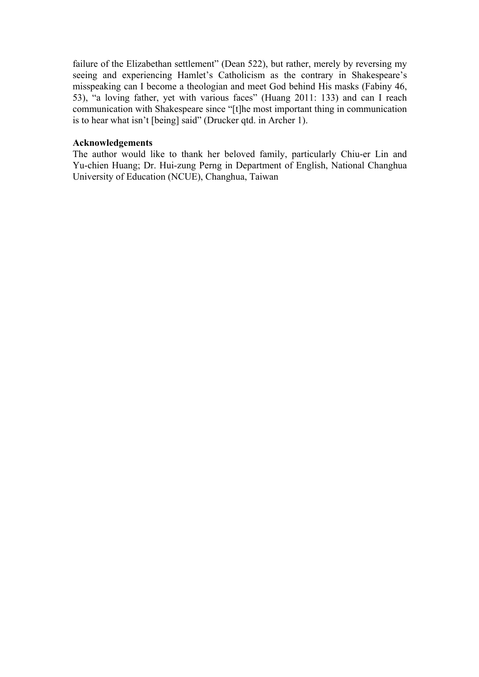failure of the Elizabethan settlement" (Dean 522), but rather, merely by reversing my seeing and experiencing Hamlet's Catholicism as the contrary in Shakespeare's misspeaking can I become a theologian and meet God behind His masks (Fabiny 46, 53), "a loving father, yet with various faces" (Huang 2011: 133) and can I reach communication with Shakespeare since "[t]he most important thing in communication is to hear what isn't [being] said" (Drucker qtd. in Archer 1).

#### **Acknowledgements**

The author would like to thank her beloved family, particularly Chiu-er Lin and Yu-chien Huang; Dr. Hui-zung Perng in Department of English, National Changhua University of Education (NCUE), Changhua, Taiwan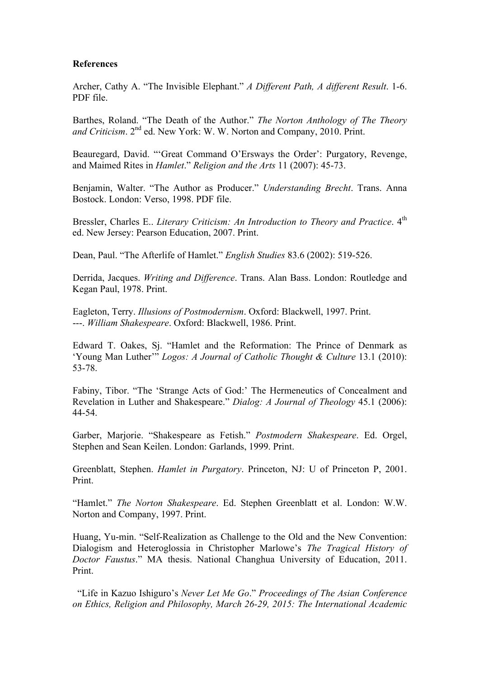#### **References**

Archer, Cathy A. "The Invisible Elephant." *A Different Path, A different Result*. 1-6. PDF file.

Barthes, Roland. "The Death of the Author." *The Norton Anthology of The Theory*  and Criticism. 2<sup>nd</sup> ed. New York: W. W. Norton and Company, 2010. Print.

Beauregard, David. "'Great Command O'Ersways the Order': Purgatory, Revenge, and Maimed Rites in *Hamlet*." *Religion and the Arts* 11 (2007): 45-73.

Benjamin, Walter. "The Author as Producer." *Understanding Brecht*. Trans. Anna Bostock. London: Verso, 1998. PDF file.

Bressler, Charles E.. *Literary Criticism: An Introduction to Theory and Practice*. 4<sup>th</sup> ed. New Jersey: Pearson Education, 2007. Print.

Dean, Paul. "The Afterlife of Hamlet." *English Studies* 83.6 (2002): 519-526.

Derrida, Jacques. *Writing and Difference*. Trans. Alan Bass. London: Routledge and Kegan Paul, 1978. Print.

Eagleton, Terry. *Illusions of Postmodernism*. Oxford: Blackwell, 1997. Print. ---. *William Shakespeare*. Oxford: Blackwell, 1986. Print.

Edward T. Oakes, Sj. "Hamlet and the Reformation: The Prince of Denmark as 'Young Man Luther'" *Logos: A Journal of Catholic Thought & Culture* 13.1 (2010): 53-78.

Fabiny, Tibor. "The 'Strange Acts of God:' The Hermeneutics of Concealment and Revelation in Luther and Shakespeare." *Dialog: A Journal of Theology* 45.1 (2006): 44-54.

Garber, Marjorie. "Shakespeare as Fetish." *Postmodern Shakespeare*. Ed. Orgel, Stephen and Sean Keilen. London: Garlands, 1999. Print.

Greenblatt, Stephen. *Hamlet in Purgatory*. Princeton, NJ: U of Princeton P, 2001. Print.

"Hamlet." *The Norton Shakespeare*. Ed. Stephen Greenblatt et al. London: W.W. Norton and Company, 1997. Print.

Huang, Yu-min. "Self-Realization as Challenge to the Old and the New Convention: Dialogism and Heteroglossia in Christopher Marlowe's *The Tragical History of Doctor Faustus*." MA thesis. National Changhua University of Education, 2011. Print.

"Life in Kazuo Ishiguro's *Never Let Me Go*." *Proceedings of The Asian Conference on Ethics, Religion and Philosophy, March 26-29, 2015: The International Academic*